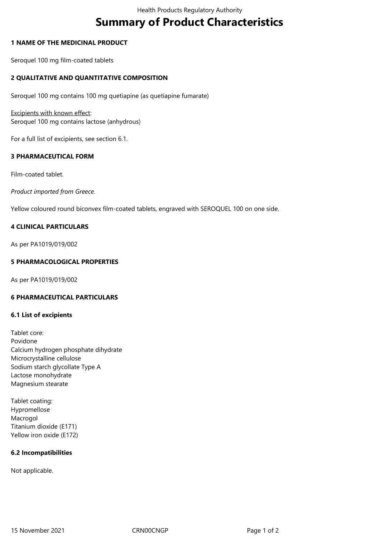# **Summary of Product Characteristics**

## **1 NAME OF THE MEDICINAL PRODUCT**

Seroquel 100 mg film-coated tablets

## **2 QUALITATIVE AND QUANTITATIVE COMPOSITION**

Seroquel 100 mg contains 100 mg quetiapine (as quetiapine fumarate)

Excipients with known effect: Seroquel 100 mg contains lactose (anhydrous)

For a full list of excipients, see section 6.1.

# **3 PHARMACEUTICAL FORM**

Film-coated tablet.

*Product imported from Greece.*

Yellow coloured round biconvex film-coated tablets, engraved with SEROQUEL 100 on one side.

# **4 CLINICAL PARTICULARS**

As per PA1019/019/002

## **5 PHARMACOLOGICAL PROPERTIES**

As per PA1019/019/002

## **6 PHARMACEUTICAL PARTICULARS**

#### **6.1 List of excipients**

Tablet core: Povidone Calcium hydrogen phosphate dihydrate Microcrystalline cellulose Sodium starch glycollate Type A Lactose monohydrate Magnesium stearate

Tablet coating: Hypromellose Macrogol Titanium dioxide (E171) Yellow iron oxide (E172)

# **6.2 Incompatibilities**

Not applicable.